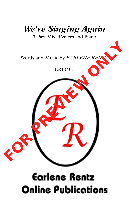

## **Earlene Rentz Online Publications**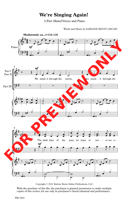## **We're Singing Again!**

3-Part Mixed Voices and Piano

Words and Music by *EARLENE RENTZ* (ASCAP)



Copyright © 2021 Earlene Rentz Online Publications, LLC

With the purchase of this file, the purchaser is granted permission to make multiple copies of this octavo, for use only in purchaser's choral rehearsal and performance.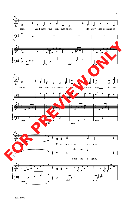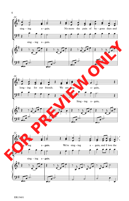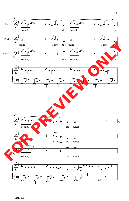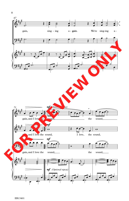